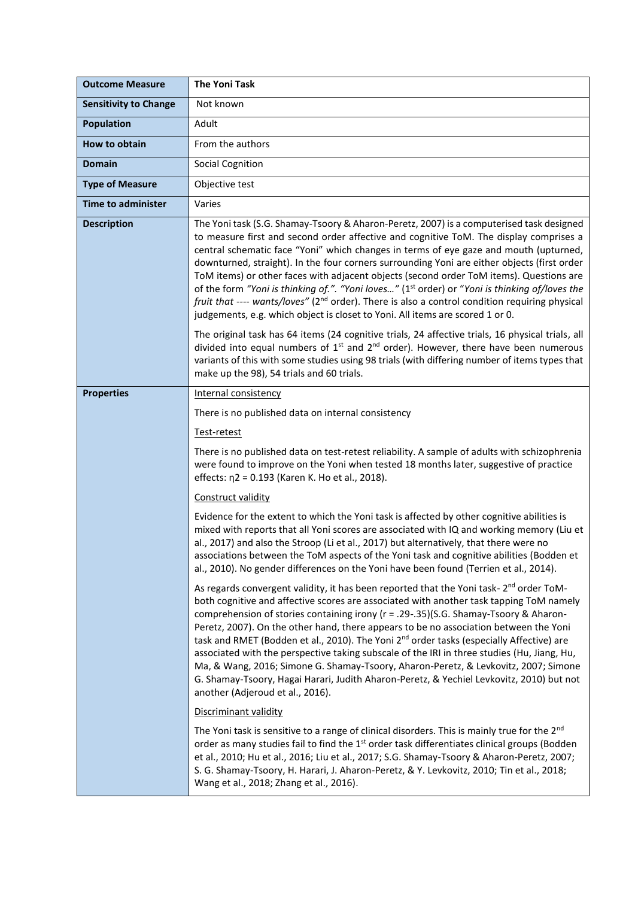| <b>Outcome Measure</b>       | <b>The Yoni Task</b>                                                                                                                                                                                                                                                                                                                                                                                                                                                                                                                                                                                                                                                                                                                                                                                                                                                                                                                                                               |
|------------------------------|------------------------------------------------------------------------------------------------------------------------------------------------------------------------------------------------------------------------------------------------------------------------------------------------------------------------------------------------------------------------------------------------------------------------------------------------------------------------------------------------------------------------------------------------------------------------------------------------------------------------------------------------------------------------------------------------------------------------------------------------------------------------------------------------------------------------------------------------------------------------------------------------------------------------------------------------------------------------------------|
| <b>Sensitivity to Change</b> | Not known                                                                                                                                                                                                                                                                                                                                                                                                                                                                                                                                                                                                                                                                                                                                                                                                                                                                                                                                                                          |
| <b>Population</b>            | Adult                                                                                                                                                                                                                                                                                                                                                                                                                                                                                                                                                                                                                                                                                                                                                                                                                                                                                                                                                                              |
| How to obtain                | From the authors                                                                                                                                                                                                                                                                                                                                                                                                                                                                                                                                                                                                                                                                                                                                                                                                                                                                                                                                                                   |
| <b>Domain</b>                | <b>Social Cognition</b>                                                                                                                                                                                                                                                                                                                                                                                                                                                                                                                                                                                                                                                                                                                                                                                                                                                                                                                                                            |
| <b>Type of Measure</b>       | Objective test                                                                                                                                                                                                                                                                                                                                                                                                                                                                                                                                                                                                                                                                                                                                                                                                                                                                                                                                                                     |
| <b>Time to administer</b>    | Varies                                                                                                                                                                                                                                                                                                                                                                                                                                                                                                                                                                                                                                                                                                                                                                                                                                                                                                                                                                             |
| <b>Description</b>           | The Yoni task (S.G. Shamay-Tsoory & Aharon-Peretz, 2007) is a computerised task designed<br>to measure first and second order affective and cognitive ToM. The display comprises a<br>central schematic face "Yoni" which changes in terms of eye gaze and mouth (upturned,<br>downturned, straight). In the four corners surrounding Yoni are either objects (first order<br>ToM items) or other faces with adjacent objects (second order ToM items). Questions are<br>of the form "Yoni is thinking of.". "Yoni loves" (1 <sup>st</sup> order) or "Yoni is thinking of/loves the<br>fruit that ---- wants/loves" (2 <sup>nd</sup> order). There is also a control condition requiring physical<br>judgements, e.g. which object is closet to Yoni. All items are scored 1 or 0.<br>The original task has 64 items (24 cognitive trials, 24 affective trials, 16 physical trials, all<br>divided into equal numbers of $1st$ and $2nd$ order). However, there have been numerous |
|                              | variants of this with some studies using 98 trials (with differing number of items types that<br>make up the 98), 54 trials and 60 trials.                                                                                                                                                                                                                                                                                                                                                                                                                                                                                                                                                                                                                                                                                                                                                                                                                                         |
| <b>Properties</b>            | <b>Internal consistency</b>                                                                                                                                                                                                                                                                                                                                                                                                                                                                                                                                                                                                                                                                                                                                                                                                                                                                                                                                                        |
|                              | There is no published data on internal consistency                                                                                                                                                                                                                                                                                                                                                                                                                                                                                                                                                                                                                                                                                                                                                                                                                                                                                                                                 |
|                              | Test-retest                                                                                                                                                                                                                                                                                                                                                                                                                                                                                                                                                                                                                                                                                                                                                                                                                                                                                                                                                                        |
|                              | There is no published data on test-retest reliability. A sample of adults with schizophrenia<br>were found to improve on the Yoni when tested 18 months later, suggestive of practice<br>effects: η2 = 0.193 (Karen K. Ho et al., 2018).                                                                                                                                                                                                                                                                                                                                                                                                                                                                                                                                                                                                                                                                                                                                           |
|                              | Construct validity                                                                                                                                                                                                                                                                                                                                                                                                                                                                                                                                                                                                                                                                                                                                                                                                                                                                                                                                                                 |
|                              | Evidence for the extent to which the Yoni task is affected by other cognitive abilities is<br>mixed with reports that all Yoni scores are associated with IQ and working memory (Liu et<br>al., 2017) and also the Stroop (Li et al., 2017) but alternatively, that there were no<br>associations between the ToM aspects of the Yoni task and cognitive abilities (Bodden et<br>al., 2010). No gender differences on the Yoni have been found (Terrien et al., 2014).                                                                                                                                                                                                                                                                                                                                                                                                                                                                                                             |
|                              | As regards convergent validity, it has been reported that the Yoni task- 2 <sup>nd</sup> order ToM-<br>both cognitive and affective scores are associated with another task tapping ToM namely<br>comprehension of stories containing irony (r = .29-.35)(S.G. Shamay-Tsoory & Aharon-<br>Peretz, 2007). On the other hand, there appears to be no association between the Yoni<br>task and RMET (Bodden et al., 2010). The Yoni 2 <sup>nd</sup> order tasks (especially Affective) are<br>associated with the perspective taking subscale of the IRI in three studies (Hu, Jiang, Hu,<br>Ma, & Wang, 2016; Simone G. Shamay-Tsoory, Aharon-Peretz, & Levkovitz, 2007; Simone<br>G. Shamay-Tsoory, Hagai Harari, Judith Aharon-Peretz, & Yechiel Levkovitz, 2010) but not<br>another (Adjeroud et al., 2016).                                                                                                                                                                      |
|                              | Discriminant validity                                                                                                                                                                                                                                                                                                                                                                                                                                                                                                                                                                                                                                                                                                                                                                                                                                                                                                                                                              |
|                              | The Yoni task is sensitive to a range of clinical disorders. This is mainly true for the 2 <sup>nd</sup><br>order as many studies fail to find the 1 <sup>st</sup> order task differentiates clinical groups (Bodden<br>et al., 2010; Hu et al., 2016; Liu et al., 2017; S.G. Shamay-Tsoory & Aharon-Peretz, 2007;<br>S. G. Shamay-Tsoory, H. Harari, J. Aharon-Peretz, & Y. Levkovitz, 2010; Tin et al., 2018;<br>Wang et al., 2018; Zhang et al., 2016).                                                                                                                                                                                                                                                                                                                                                                                                                                                                                                                         |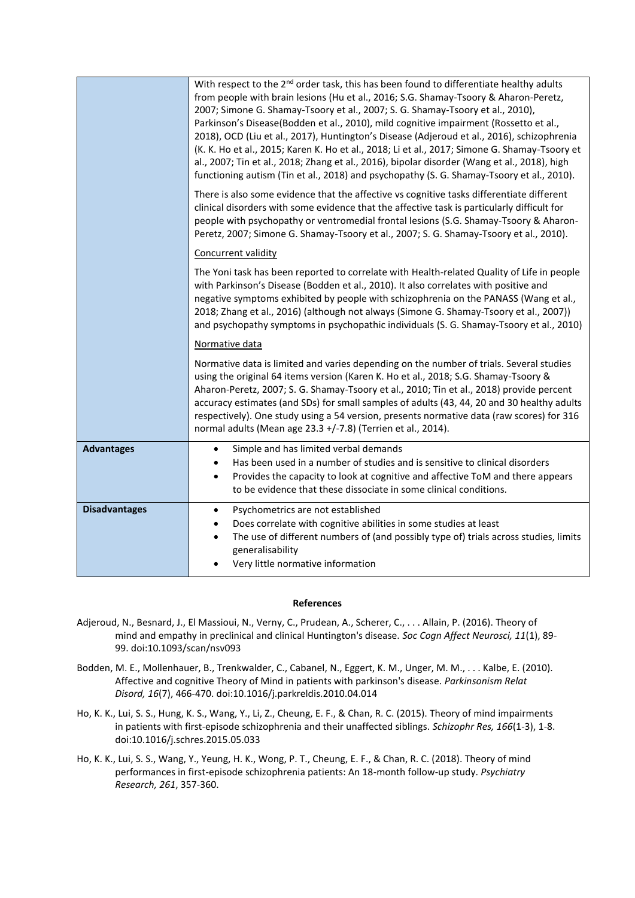|                      | With respect to the 2 <sup>nd</sup> order task, this has been found to differentiate healthy adults<br>from people with brain lesions (Hu et al., 2016; S.G. Shamay-Tsoory & Aharon-Peretz,<br>2007; Simone G. Shamay-Tsoory et al., 2007; S. G. Shamay-Tsoory et al., 2010),<br>Parkinson's Disease(Bodden et al., 2010), mild cognitive impairment (Rossetto et al.,<br>2018), OCD (Liu et al., 2017), Huntington's Disease (Adjeroud et al., 2016), schizophrenia<br>(K. K. Ho et al., 2015; Karen K. Ho et al., 2018; Li et al., 2017; Simone G. Shamay-Tsoory et<br>al., 2007; Tin et al., 2018; Zhang et al., 2016), bipolar disorder (Wang et al., 2018), high<br>functioning autism (Tin et al., 2018) and psychopathy (S. G. Shamay-Tsoory et al., 2010). |
|----------------------|--------------------------------------------------------------------------------------------------------------------------------------------------------------------------------------------------------------------------------------------------------------------------------------------------------------------------------------------------------------------------------------------------------------------------------------------------------------------------------------------------------------------------------------------------------------------------------------------------------------------------------------------------------------------------------------------------------------------------------------------------------------------|
|                      | There is also some evidence that the affective vs cognitive tasks differentiate different<br>clinical disorders with some evidence that the affective task is particularly difficult for<br>people with psychopathy or ventromedial frontal lesions (S.G. Shamay-Tsoory & Aharon-<br>Peretz, 2007; Simone G. Shamay-Tsoory et al., 2007; S. G. Shamay-Tsoory et al., 2010).                                                                                                                                                                                                                                                                                                                                                                                        |
|                      | Concurrent validity                                                                                                                                                                                                                                                                                                                                                                                                                                                                                                                                                                                                                                                                                                                                                |
|                      | The Yoni task has been reported to correlate with Health-related Quality of Life in people<br>with Parkinson's Disease (Bodden et al., 2010). It also correlates with positive and<br>negative symptoms exhibited by people with schizophrenia on the PANASS (Wang et al.,<br>2018; Zhang et al., 2016) (although not always (Simone G. Shamay-Tsoory et al., 2007))<br>and psychopathy symptoms in psychopathic individuals (S. G. Shamay-Tsoory et al., 2010)                                                                                                                                                                                                                                                                                                    |
|                      | Normative data                                                                                                                                                                                                                                                                                                                                                                                                                                                                                                                                                                                                                                                                                                                                                     |
|                      | Normative data is limited and varies depending on the number of trials. Several studies<br>using the original 64 items version (Karen K. Ho et al., 2018; S.G. Shamay-Tsoory &<br>Aharon-Peretz, 2007; S. G. Shamay-Tsoory et al., 2010; Tin et al., 2018) provide percent<br>accuracy estimates (and SDs) for small samples of adults (43, 44, 20 and 30 healthy adults<br>respectively). One study using a 54 version, presents normative data (raw scores) for 316<br>normal adults (Mean age 23.3 +/-7.8) (Terrien et al., 2014).                                                                                                                                                                                                                              |
| <b>Advantages</b>    | Simple and has limited verbal demands<br>$\bullet$<br>Has been used in a number of studies and is sensitive to clinical disorders<br>$\bullet$<br>Provides the capacity to look at cognitive and affective ToM and there appears<br>$\bullet$<br>to be evidence that these dissociate in some clinical conditions.                                                                                                                                                                                                                                                                                                                                                                                                                                                 |
| <b>Disadvantages</b> | Psychometrics are not established<br>$\bullet$<br>Does correlate with cognitive abilities in some studies at least<br>The use of different numbers of (and possibly type of) trials across studies, limits<br>$\bullet$<br>generalisability<br>Very little normative information<br>$\bullet$                                                                                                                                                                                                                                                                                                                                                                                                                                                                      |

## **References**

- Adjeroud, N., Besnard, J., El Massioui, N., Verny, C., Prudean, A., Scherer, C., . . . Allain, P. (2016). Theory of mind and empathy in preclinical and clinical Huntington's disease. *Soc Cogn Affect Neurosci, 11*(1), 89- 99. doi:10.1093/scan/nsv093
- Bodden, M. E., Mollenhauer, B., Trenkwalder, C., Cabanel, N., Eggert, K. M., Unger, M. M., . . . Kalbe, E. (2010). Affective and cognitive Theory of Mind in patients with parkinson's disease. *Parkinsonism Relat Disord, 16*(7), 466-470. doi:10.1016/j.parkreldis.2010.04.014
- Ho, K. K., Lui, S. S., Hung, K. S., Wang, Y., Li, Z., Cheung, E. F., & Chan, R. C. (2015). Theory of mind impairments in patients with first-episode schizophrenia and their unaffected siblings. *Schizophr Res, 166*(1-3), 1-8. doi:10.1016/j.schres.2015.05.033
- Ho, K. K., Lui, S. S., Wang, Y., Yeung, H. K., Wong, P. T., Cheung, E. F., & Chan, R. C. (2018). Theory of mind performances in first-episode schizophrenia patients: An 18-month follow-up study. *Psychiatry Research, 261*, 357-360.